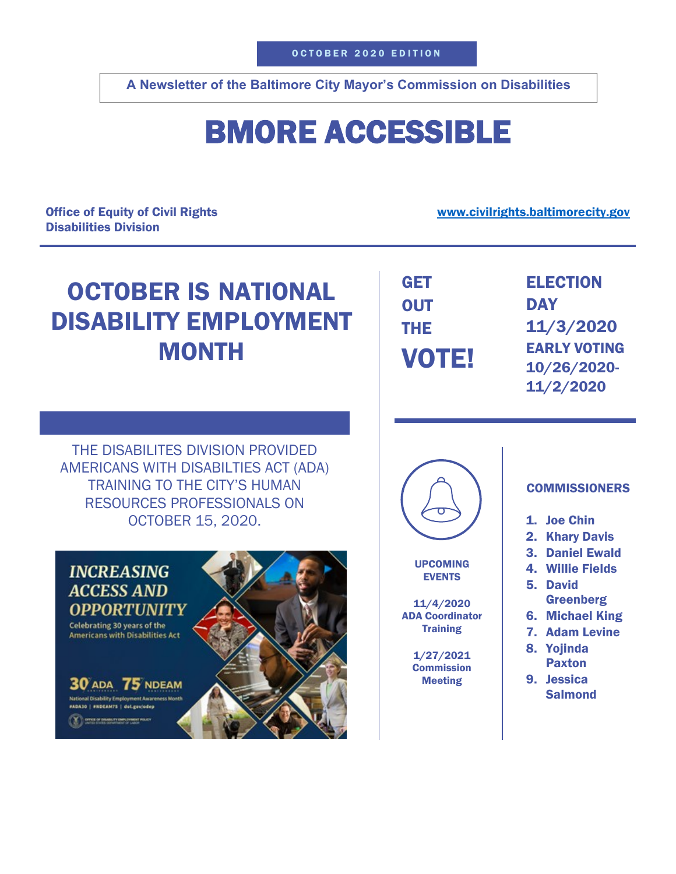**A Newsletter of the Baltimore City Mayor's Commission on Disabilities**

## BMORE ACCESSIBLE

Office of Equity of Civil Rights Disabilities Division

[www.civilrights.baltimorecity.gov](http://www.civilrights.baltimorecity.gov/)

## OCTOBER IS NATIONAL DISABILITY EMPLOYMENT **MONTH**

| <b>GET</b> |  |
|------------|--|
| <b>OUT</b> |  |
| THE        |  |
| VOTE!      |  |

 ELECTION **DAY** 11/3/2020 EARLY VOTING 10/26/2020- 11/2/2020

THE DISABILITES DIVISION PROVIDED AMERICANS WITH DISABILTIES ACT (ADA) TRAINING TO THE CITY'S HUMAN RESOURCES PROFESSIONALS ON OCTOBER 15, 2020.





UPCOMING EVENTS

11/4/2020 ADA Coordinator **Training** 

> 1/27/2021 **Commission** Meeting

## **COMMISSIONERS**

- 1. Joe Chin
- 2. Khary Davis
- 3. Daniel Ewald
- 4. Willie Fields
- 5. David **Greenberg**
- 6. Michael King
- 7. Adam Levine
- 8. Yojinda Paxton
- 9. Jessica Salmond